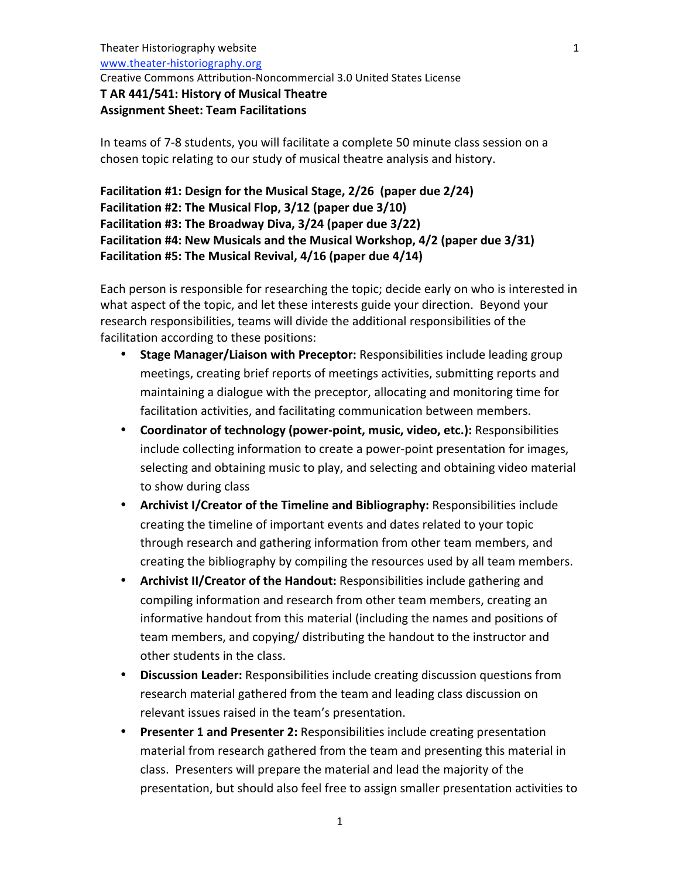Theater
Historiography
website www.theater‐historiography.org

Creative
Commons
Attribution‐Noncommercial
3.0
United
States
License

### **T
AR
441/541:
History
of
Musical
Theatre Assignment
Sheet:
Team
Facilitations**

In
teams
of
7‐8 students,
you
will
facilitate
a
complete
50
minute
class
session
on
a chosen
topic
relating
to
our
study
of
musical
theatre
analysis
and
history.

**Facilitation
#1:
Design
for
the
Musical
Stage,
2/26 (paper
due
2/24)** Facilitation #2: The Musical Flop, 3/12 (paper due 3/10) **Facilitation
#3:
The
Broadway
Diva,
3/24 (paper
due
3/22) Facilitation
#4:
New
Musicals
and
the
Musical
Workshop,
4/2 (paper
due
3/31) Facilitation
#5:
The
Musical
Revival,
4/16 (paper
due
4/14)**

Each person is responsible for researching the topic; decide early on who is interested in what aspect of the topic, and let these interests guide your direction. Beyond your research
responsibilities,
teams
will
divide
the
additional
responsibilities
of
the facilitation according to these positions:

- Stage Manager/Liaison with Preceptor: Responsibilities include leading group meetings, creating brief reports of meetings activities, submitting reports and maintaining
a
dialogue
with
the
preceptor,
allocating
and
monitoring
time
for facilitation activities, and facilitating communication between members.
- Coordinator of technology (power-point, music, video, etc.): Responsibilities include collecting information to create a power-point presentation for images, selecting and obtaining music to play, and selecting and obtaining video material to show during class
- **Archivist I/Creator of the Timeline and Bibliography: Responsibilities include** creating
the
timeline
of
important
events
and
dates
related
to
your
topic through
research
and
gathering
information
from
other
team
members,
and creating
the
bibliography
by
compiling
the
resources
used
by
all
team
members.
- Archivist II/Creator of the Handout: Responsibilities include gathering and compiling
information
and
research
from
other
team
members,
creating
an informative handout from this material (including the names and positions of team
members,
and
copying/
distributing
the
handout
to
the
instructor
and other
students
in
the
class.
- **Discussion Leader:** Responsibilities include creating discussion questions from research
material
gathered
from
the team
and
leading
class
discussion
on relevant
issues
raised
in
the
team's
presentation.
- **Presenter 1 and Presenter 2: Responsibilities include creating presentation** material from research gathered from the team and presenting this material in class.

Presenters
will
prepare
the
material
and
lead
the
majority
of
the presentation,
but
should
also
feel
free
to
assign
smaller
presentation
activities
to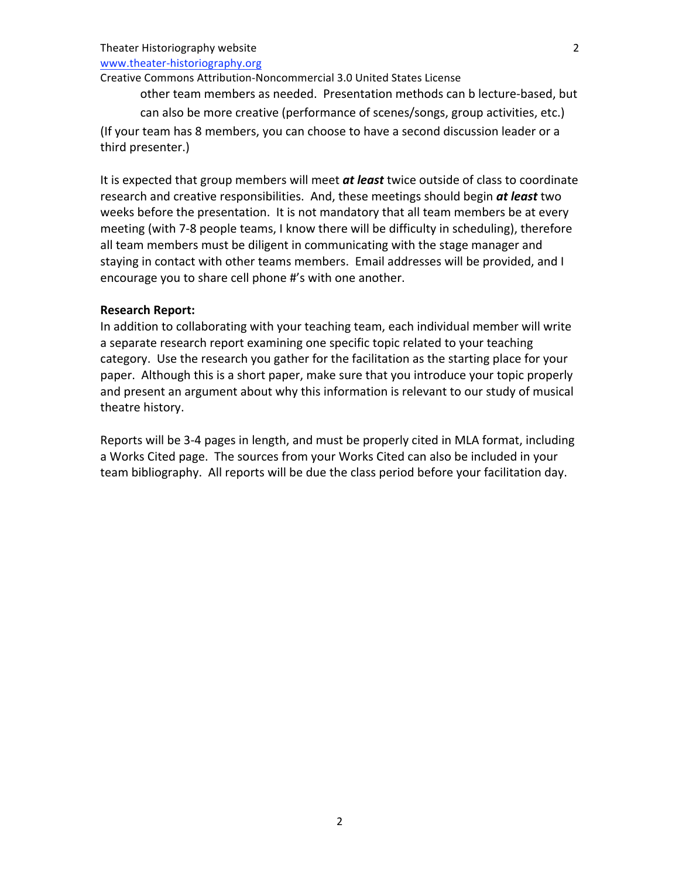### Theater
Historiography
website

www.theater‐historiography.org

#### Creative
Commons
Attribution‐Noncommercial
3.0
United
States
License

other
team
members
as
needed.

Presentation
methods
can
b
lecture‐based,
but can
also
be
more
creative
(performance
of
scenes/songs,
group
activities,
etc.) (If
your
team
has
8
members,
you
can
choose
to
have
a
second
discussion
leader
or
a third
presenter.)

It is expected that group members will meet at least twice outside of class to coordinate research and creative responsibilities. And, these meetings should begin *at least* two weeks before the presentation. It is not mandatory that all team members be at every meeting
(with
7‐8
people
teams,
I
know
there
will
be
difficulty
in
scheduling),
therefore all team members must be diligent in communicating with the stage manager and staying in contact with other teams members. Email addresses will be provided, and I encourage
you
to
share
cell
phone
#'s
with
one
another.

### **Research
Report:**

In addition to collaborating with your teaching team, each individual member will write a separate research report examining one specific topic related to your teaching category. Use the research you gather for the facilitation as the starting place for your paper.

Although
this
is
a
short
paper,
make
sure
that
you
introduce
your
topic
properly and present an argument about why this information is relevant to our study of musical theatre
history.

Reports will be 3-4 pages in length, and must be properly cited in MLA format, including a Works Cited page. The sources from your Works Cited can also be included in your team bibliography. All reports will be due the class period before your facilitation day.